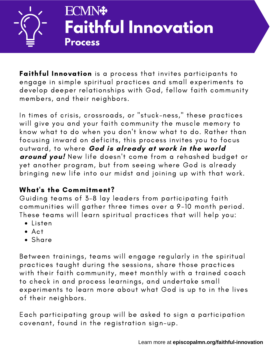

Faithful Innovation is a process that invites participants to engage in simple spiritual practices and small experiments to develop deeper relationships with God, fellow faith community members, and their neighbors.

In times of crisis, crossroads, or "stuck-ness," these practices will give you and your faith community the muscle memory to know what to do when you don't know what to do. Rather than focusing inward on deficits, this process invites you to focus outward, to where **God is already at work in the world around you!** New life doesn't come from a rehashed budget or yet another program, but from seeing where God is already bringing new life into our midst and joining up with that work.

# What's the Commitment?

Guiding teams of 3-8 lay leaders from participating faith communities will gather three times over a 9-10 month period. These teams will learn spiritual practices that will help you:

- Listen
- $Act$
- Share

Between trainings, teams will engage regularly in the spiritual practices taught during the sessions, share those practices with their faith community, meet monthly with a trained coach to check in and process learnings, and undertake small experiments to learn more about what God is up to in the lives of their neighbors.

Each participating group will be asked to sign a participation covenant, found in the registration sign-up.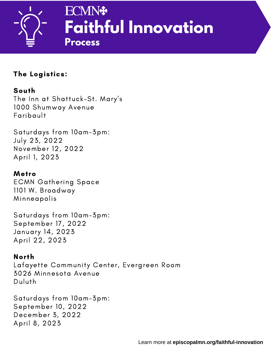

## The Logistics:

## South

The Inn at Shattuck-St. Mary's 1000 Shumway Avenue Faribault

Saturdays from 10am-3pm: July 23, 2022 November 12, 2022 April 1, 2023

## Metro

ECMN Gathering Space 1101 W. Broadway Minneapolis

Saturdays from 10am-3pm: September 17, 2022 January 14, 2023 April 22, 2023

#### North

Lafayette Community Center, Evergreen Room 3026 Minnesota Avenue Duluth

Saturdays from 10am-3pm: September 10, 2022 December 3, 2022 April 8, 2023